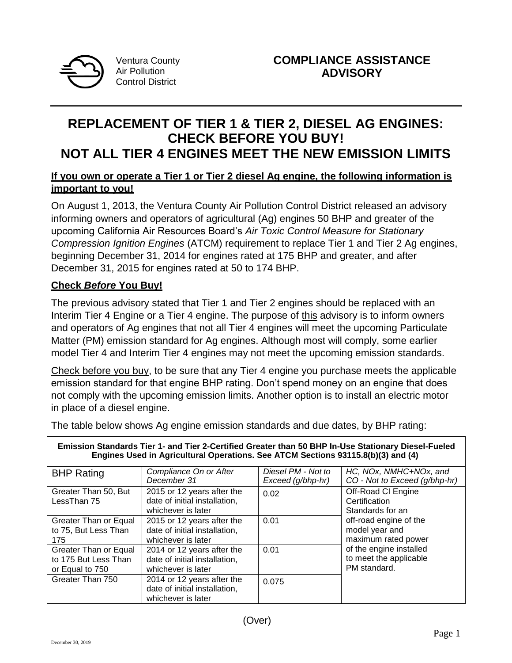

Ventura County Air Pollution Control District

# **REPLACEMENT OF TIER 1 & TIER 2, DIESEL AG ENGINES: CHECK BEFORE YOU BUY! NOT ALL TIER 4 ENGINES MEET THE NEW EMISSION LIMITS**

# **If you own or operate a Tier 1 or Tier 2 diesel Ag engine, the following information is important to you!**

On August 1, 2013, the Ventura County Air Pollution Control District released an advisory informing owners and operators of agricultural (Ag) engines 50 BHP and greater of the upcoming California Air Resources Board's *Air Toxic Control Measure for Stationary Compression Ignition Engines* (ATCM) requirement to replace Tier 1 and Tier 2 Ag engines, beginning December 31, 2014 for engines rated at 175 BHP and greater, and after December 31, 2015 for engines rated at 50 to 174 BHP.

# **Check** *Before* **You Buy!**

The previous advisory stated that Tier 1 and Tier 2 engines should be replaced with an Interim Tier 4 Engine or a Tier 4 engine. The purpose of this advisory is to inform owners and operators of Ag engines that not all Tier 4 engines will meet the upcoming Particulate Matter (PM) emission standard for Ag engines. Although most will comply, some earlier model Tier 4 and Interim Tier 4 engines may not meet the upcoming emission standards.

Check before you buy, to be sure that any Tier 4 engine you purchase meets the applicable emission standard for that engine BHP rating. Don't spend money on an engine that does not comply with the upcoming emission limits. Another option is to install an electric motor in place of a diesel engine.

The table below shows Ag engine emission standards and due dates, by BHP rating:

| Emission Standards Tier 1- and Tier 2-Certified Greater than 50 BHP In-Use Stationary Diesel-Fueled<br>Engines Used in Agricultural Operations. See ATCM Sections 93115.8(b)(3) and (4) |                                                                                   |                                         |                                                                                                                                      |
|-----------------------------------------------------------------------------------------------------------------------------------------------------------------------------------------|-----------------------------------------------------------------------------------|-----------------------------------------|--------------------------------------------------------------------------------------------------------------------------------------|
| <b>BHP Rating</b>                                                                                                                                                                       | Compliance On or After<br>December 31                                             | Diesel PM - Not to<br>Exceed (g/bhp-hr) | HC, NOx, NMHC+NOx, and<br>CO - Not to Exceed (g/bhp-hr)                                                                              |
| Greater Than 50, But<br>LessThan 75                                                                                                                                                     | 2015 or 12 years after the<br>date of initial installation,<br>whichever is later | 0.02                                    | Off-Road CI Engine<br>Certification<br>Standards for an                                                                              |
| Greater Than or Equal<br>to 75, But Less Than<br>175                                                                                                                                    | 2015 or 12 years after the<br>date of initial installation,<br>whichever is later | 0.01                                    | off-road engine of the<br>model year and<br>maximum rated power<br>of the engine installed<br>to meet the applicable<br>PM standard. |
| Greater Than or Equal<br>to 175 But Less Than<br>or Equal to 750                                                                                                                        | 2014 or 12 years after the<br>date of initial installation,<br>whichever is later | 0.01                                    |                                                                                                                                      |
| Greater Than 750                                                                                                                                                                        | 2014 or 12 years after the<br>date of initial installation,<br>whichever is later | 0.075                                   |                                                                                                                                      |

(Over)